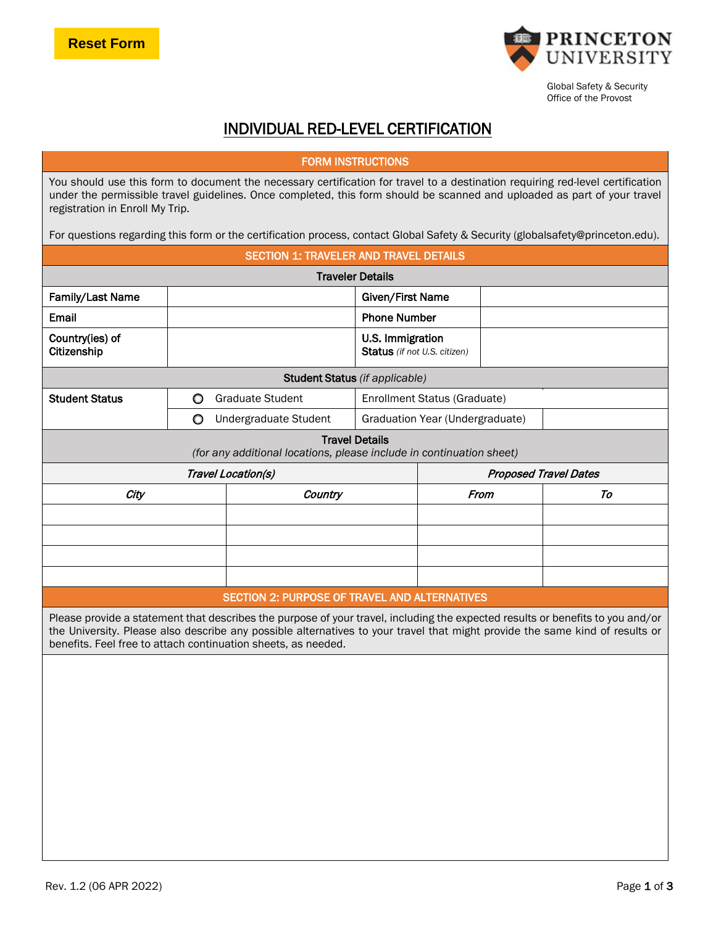

Global Safety & Security Office of the Provost

# INDIVIDUAL RED-LEVEL CERTIFICATION

## FORM INSTRUCTIONS

You should use this form to document the necessary certification for travel to a destination requiring red-level certification under the permissible travel guidelines. Once completed, this form should be scanned and uploaded as part of your travel registration in Enroll My Trip.

For questions regarding this form or the certification process, contact Global Safety & Security (globalsafety@princeton.edu).

| <b>SECTION 1: TRAVELER AND TRAVEL DETAILS</b>                                                                                                                                                                                                                                                                                   |                                                                     |                    |                                                  |                              |      |    |  |  |
|---------------------------------------------------------------------------------------------------------------------------------------------------------------------------------------------------------------------------------------------------------------------------------------------------------------------------------|---------------------------------------------------------------------|--------------------|--------------------------------------------------|------------------------------|------|----|--|--|
| <b>Traveler Details</b>                                                                                                                                                                                                                                                                                                         |                                                                     |                    |                                                  |                              |      |    |  |  |
| Family/Last Name                                                                                                                                                                                                                                                                                                                |                                                                     |                    | Given/First Name                                 |                              |      |    |  |  |
| Email                                                                                                                                                                                                                                                                                                                           |                                                                     |                    | <b>Phone Number</b>                              |                              |      |    |  |  |
| Country(ies) of<br>Citizenship                                                                                                                                                                                                                                                                                                  |                                                                     |                    | U.S. Immigration<br>Status (if not U.S. citizen) |                              |      |    |  |  |
| <b>Student Status</b> (if applicable)                                                                                                                                                                                                                                                                                           |                                                                     |                    |                                                  |                              |      |    |  |  |
| <b>Student Status</b>                                                                                                                                                                                                                                                                                                           | <b>Graduate Student</b><br>$\circ$<br>Enrollment Status (Graduate)  |                    |                                                  |                              |      |    |  |  |
|                                                                                                                                                                                                                                                                                                                                 | $\circ$<br>Graduation Year (Undergraduate)<br>Undergraduate Student |                    |                                                  |                              |      |    |  |  |
| <b>Travel Details</b><br>(for any additional locations, please include in continuation sheet)                                                                                                                                                                                                                                   |                                                                     |                    |                                                  |                              |      |    |  |  |
|                                                                                                                                                                                                                                                                                                                                 |                                                                     | Travel Location(s) |                                                  | <b>Proposed Travel Dates</b> |      |    |  |  |
| City                                                                                                                                                                                                                                                                                                                            |                                                                     | Country            |                                                  |                              | From | To |  |  |
|                                                                                                                                                                                                                                                                                                                                 |                                                                     |                    |                                                  |                              |      |    |  |  |
|                                                                                                                                                                                                                                                                                                                                 |                                                                     |                    |                                                  |                              |      |    |  |  |
|                                                                                                                                                                                                                                                                                                                                 |                                                                     |                    |                                                  |                              |      |    |  |  |
|                                                                                                                                                                                                                                                                                                                                 |                                                                     |                    |                                                  |                              |      |    |  |  |
| SECTION 2: PURPOSE OF TRAVEL AND ALTERNATIVES                                                                                                                                                                                                                                                                                   |                                                                     |                    |                                                  |                              |      |    |  |  |
| Please provide a statement that describes the purpose of your travel, including the expected results or benefits to you and/or<br>the University. Please also describe any possible alternatives to your travel that might provide the same kind of results or<br>benefits. Feel free to attach continuation sheets, as needed. |                                                                     |                    |                                                  |                              |      |    |  |  |
|                                                                                                                                                                                                                                                                                                                                 |                                                                     |                    |                                                  |                              |      |    |  |  |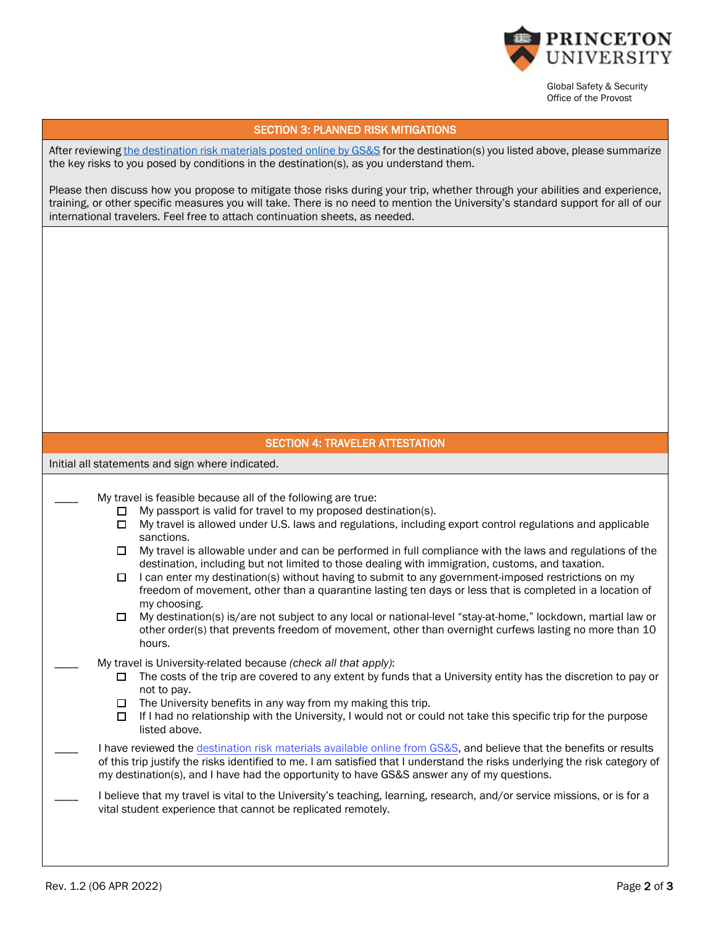

Global Safety & Security Office of the Provost

#### SECTION 3: PLANNED RISK MITIGATIONS

After reviewing [the destination risk materials posted online by GS&S](https://international.princeton.edu/global-support-resources/destination-guidance) for the destination(s) you listed above, please summarize the key risks to you posed by conditions in the destination(s), as you understand them.

Please then discuss how you propose to mitigate those risks during your trip, whether through your abilities and experience, training, or other specific measures you will take. There is no need to mention the University's standard support for all of our international travelers. Feel free to attach continuation sheets, as needed.

### SECTION 4: TRAVELER ATTESTATION

Initial all statements and sign where indicated.

My travel is feasible because all of the following are true:

- $\Box$  My passport is valid for travel to my proposed destination(s).
- $\Box$  My travel is allowed under U.S. laws and regulations, including export control regulations and applicable sanctions.
- $\Box$  My travel is allowable under and can be performed in full compliance with the laws and regulations of the destination, including but not limited to those dealing with immigration, customs, and taxation.
- $\Box$  I can enter my destination(s) without having to submit to any government-imposed restrictions on my freedom of movement, other than a quarantine lasting ten days or less that is completed in a location of my choosing.
- □ My destination(s) is/are not subject to any local or national-level "stay-at-home," lockdown, martial law or other order(s) that prevents freedom of movement, other than overnight curfews lasting no more than 10 hours.
- \_\_\_\_ My travel is University-related because *(check all that apply)*:
	- $\Box$  The costs of the trip are covered to any extent by funds that a University entity has the discretion to pay or not to pay.
	- $\Box$  The University benefits in any way from my making this trip.
	- $\Box$  If I had no relationship with the University, I would not or could not take this specific trip for the purpose listed above.

I have reviewed [the destination risk materials available online from GS&S,](https://international.princeton.edu/global-support-resources/destination-guidance) and believe that the benefits or results of this trip justify the risks identified to me. I am satisfied that I understand the risks underlying the risk category of my destination(s), and I have had the opportunity to have GS&S answer any of my questions.

I believe that my travel is vital to the University's teaching, learning, research, and/or service missions, or is for a vital student experience that cannot be replicated remotely.

 $\overline{\phantom{a}}$ 

 $\overline{\phantom{a}}$